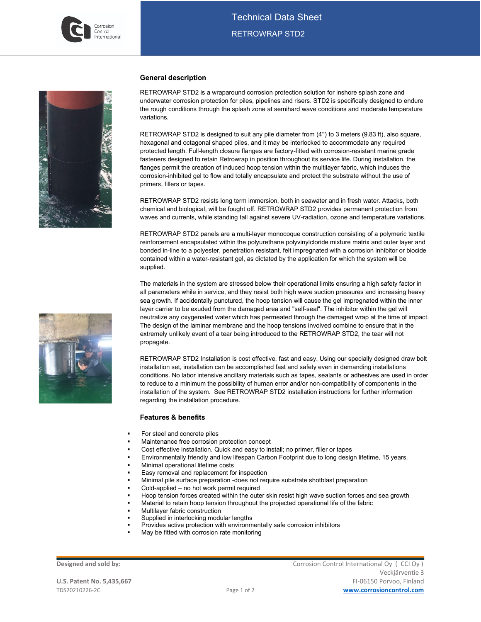



## **General description**

RETROWRAP STD2 is a wraparound corrosion protection solution for inshore splash zone and underwater corrosion protection for piles, pipelines and risers. STD2 is specifically designed to endure the rough conditions through the splash zone at semihard wave conditions and moderate temperature variations.

RETROWRAP STD2 is designed to suit any pile diameter from (4") to 3 meters (9.83 ft), also square, hexagonal and octagonal shaped piles, and it may be interlocked to accommodate any required protected length. Full-length closure flanges are factory-fitted with corrosion-resistant marine grade fasteners designed to retain Retrowrap in position throughout its service life. During installation, the flanges permit the creation of induced hoop tension within the multilayer fabric, which induces the corrosion-inhibited gel to flow and totally encapsulate and protect the substrate without the use of primers, fillers or tapes.

RETROWRAP STD2 resists long term immersion, both in seawater and in fresh water. Attacks, both chemical and biological, will be fought off. RETROWRAP STD2 provides permanent protection from waves and currents, while standing tall against severe UV-radiation, ozone and temperature variations.

RETROWRAP STD2 panels are a multi-layer monocoque construction consisting of a polymeric textile reinforcement encapsulated within the polyurethane polyvinylcloride mixture matrix and outer layer and bonded in-line to a polyester, penetration resistant, felt impregnated with a corrosion inhibitor or biocide contained within a water-resistant gel, as dictated by the application for which the system will be supplied.

The materials in the system are stressed below their operational limits ensuring a high safety factor in all parameters while in service, and they resist both high wave suction pressures and increasing heavy sea growth. If accidentally punctured, the hoop tension will cause the gel impregnated within the inner layer carrier to be exuded from the damaged area and "self-seal". The inhibitor within the gel will neutralize any oxygenated water which has permeated through the damaged wrap at the time of impact. The design of the laminar membrane and the hoop tensions involved combine to ensure that in the extremely unlikely event of a tear being introduced to the RETROWRAP STD2, the tear will not propagate.

RETROWRAP STD2 Installation is cost effective, fast and easy. Using our specially designed draw bolt installation set, installation can be accomplished fast and safety even in demanding installations conditions. No labor intensive ancillary materials such as tapes, sealants or adhesives are used in order to reduce to a minimum the possibility of human error and/or non-compatibility of components in the installation of the system. See RETROWRAP STD2 installation instructions for further information regarding the installation procedure.

## **Features & benefits**

- For steel and concrete piles
- Maintenance free corrosion protection concept
- Cost effective installation. Quick and easy to install; no primer, filler or tapes
- Environmentally friendly and low lifespan Carbon Footprint due to long design lifetime, 15 years.
- Minimal operational lifetime costs
- Easy removal and replacement for inspection
- Minimal pile surface preparation -does not require substrate shotblast preparation
- Cold-applied no hot work permit required
- Hoop tension forces created within the outer skin resist high wave suction forces and sea growth
- Material to retain hoop tension throughout the projected operational life of the fabric
- Multilayer fabric construction
- Supplied in interlocking modular lengths
- Provides active protection with environmentally safe corrosion inhibitors
- May be fitted with corrosion rate monitoring